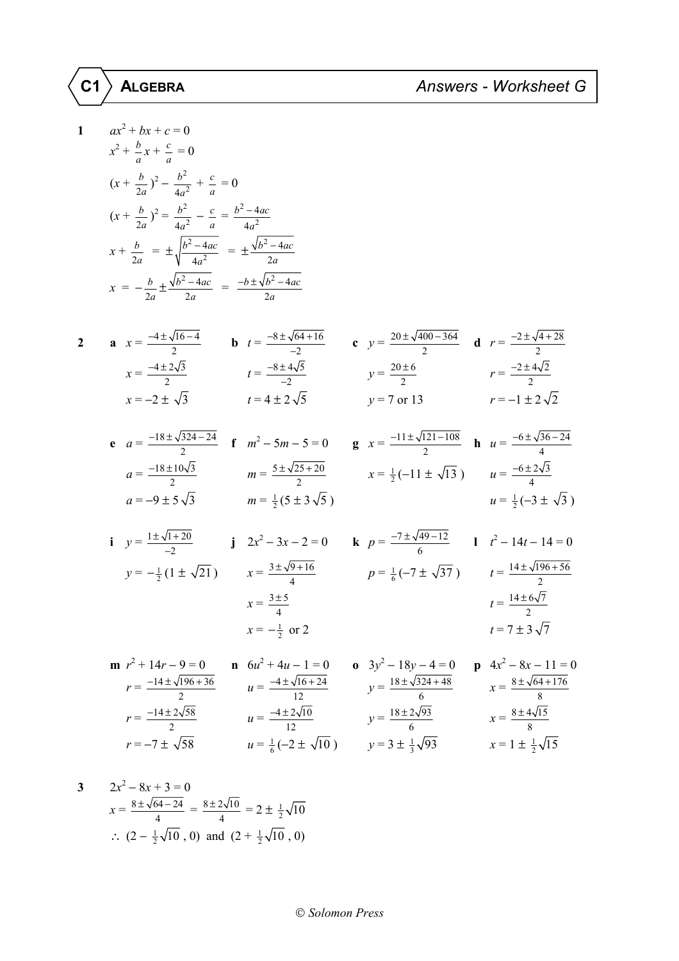## **C1 ALGEBRA** *Answers - Worksheet G*

$$
\texttt{C1} \,\bigr\rangle\;\texttt{ALGEBRA}
$$

**1** *ax*

1 
$$
ax^2 + bx + c = 0
$$
  
\n $x^2 + \frac{b}{a}x + \frac{c}{a} = 0$   
\n $(x + \frac{b}{2a})^2 - \frac{b^2}{4a^2} + \frac{c}{a} = 0$   
\n $(x + \frac{b}{2a})^2 = \frac{b^2}{4a^2} - \frac{c}{a} = \frac{b^2 - 4ac}{4a^2}$   
\n $x + \frac{b}{2a} = \pm \sqrt{\frac{b^2 - 4ac}{4a^2}} = \pm \frac{\sqrt{b^2 - 4ac}}{2a}$   
\n $x = -\frac{b}{2a} \pm \frac{\sqrt{b^2 - 4ac}}{2a} = \frac{-b \pm \sqrt{b^2 - 4ac}}{2a}$ 

j.

2 **a** 
$$
x = \frac{-4 \pm \sqrt{16 - 4}}{2}
$$
 **b**  $t = \frac{-8 \pm \sqrt{64 + 16}}{-2}$  **c**  $y = \frac{20 \pm \sqrt{400 - 364}}{2}$  **d**  $r = \frac{-2 \pm \sqrt{4 + 28}}{2}$   
\n $x = \frac{-4 \pm 2\sqrt{3}}{2}$   $t = 4 \pm 2\sqrt{5}$   $y = 7$  or 13  $r = -1 \pm 2\sqrt{2}$ 

**e** 
$$
a = \frac{-18 \pm \sqrt{324 - 24}}{2}
$$
 **f**  $m^2 - 5m - 5 = 0$  **g**  $x = \frac{-11 \pm \sqrt{121 - 108}}{2}$  **h**  $u = \frac{-6 \pm \sqrt{36 - 24}}{4}$   
\n $a = \frac{-18 \pm 10\sqrt{3}}{2}$   $m = \frac{5 \pm \sqrt{25 + 20}}{2}$   $x = \frac{1}{2}(-11 \pm \sqrt{13})$   $u = \frac{-6 \pm 2\sqrt{3}}{4}$   
\n $a = -9 \pm 5\sqrt{3}$   $m = \frac{1}{2}(5 \pm 3\sqrt{5})$   $u = \frac{1}{2}(-3 \pm \sqrt{3})$ 

**i** 
$$
y = \frac{1 \pm \sqrt{1 + 20}}{-2}
$$
 **j**  $2x^2 - 3x - 2 = 0$  **k**  $p = \frac{-7 \pm \sqrt{49 - 12}}{6}$  **l**  $t^2 - 14t - 14 = 0$   
\n $y = -\frac{1}{2}(1 \pm \sqrt{21})$   $x = \frac{3 \pm \sqrt{9 + 16}}{4}$   $p = \frac{1}{6}(-7 \pm \sqrt{37})$   $t = \frac{14 \pm \sqrt{196 + 56}}{2}$   
\n $x = \frac{3 \pm 5}{4}$   $t = \frac{14 \pm 6\sqrt{7}}{2}$   
\n $x = -\frac{1}{2}$  or 2  $t = 7 \pm 3\sqrt{7}$ 

**m** 
$$
r^2 + 14r - 9 = 0
$$
  
\n $r = \frac{-14 \pm \sqrt{196 + 36}}{2}$   
\n**n**  $6u^2 + 4u - 1 = 0$   
\n $u = \frac{-4 \pm \sqrt{16 + 24}}{12}$   
\n**o**  $3y^2 - 18y - 4 = 0$   
\n $y = \frac{18 \pm \sqrt{324 + 48}}{6}$   
\n**p**  $4x^2 - 8x - 11 = 0$   
\n $x = \frac{8 \pm \sqrt{64 + 176}}{8}$   
\n $x = \frac{8 \pm \sqrt{64 + 176}}{8}$   
\n $r = -7 \pm \sqrt{58}$   
\n**o**  $3y^2 - 18y - 4 = 0$   
\n $y = \frac{18 \pm \sqrt{324 + 48}}{6}$   
\n $y = \frac{18 \pm 2\sqrt{93}}{6}$   
\n $y = \frac{18 \pm 2\sqrt{93}}{6}$   
\n $x = \frac{8 \pm 4\sqrt{15}}{8}$   
\n $x = 1 \pm \frac{1}{2}\sqrt{15}$ 

3 
$$
2x^2 - 8x + 3 = 0
$$
  
\n
$$
x = \frac{8 \pm \sqrt{64 - 24}}{4} = \frac{8 \pm 2\sqrt{10}}{4} = 2 \pm \frac{1}{2}\sqrt{10}
$$
  
\n
$$
\therefore (2 - \frac{1}{2}\sqrt{10}, 0) \text{ and } (2 + \frac{1}{2}\sqrt{10}, 0)
$$